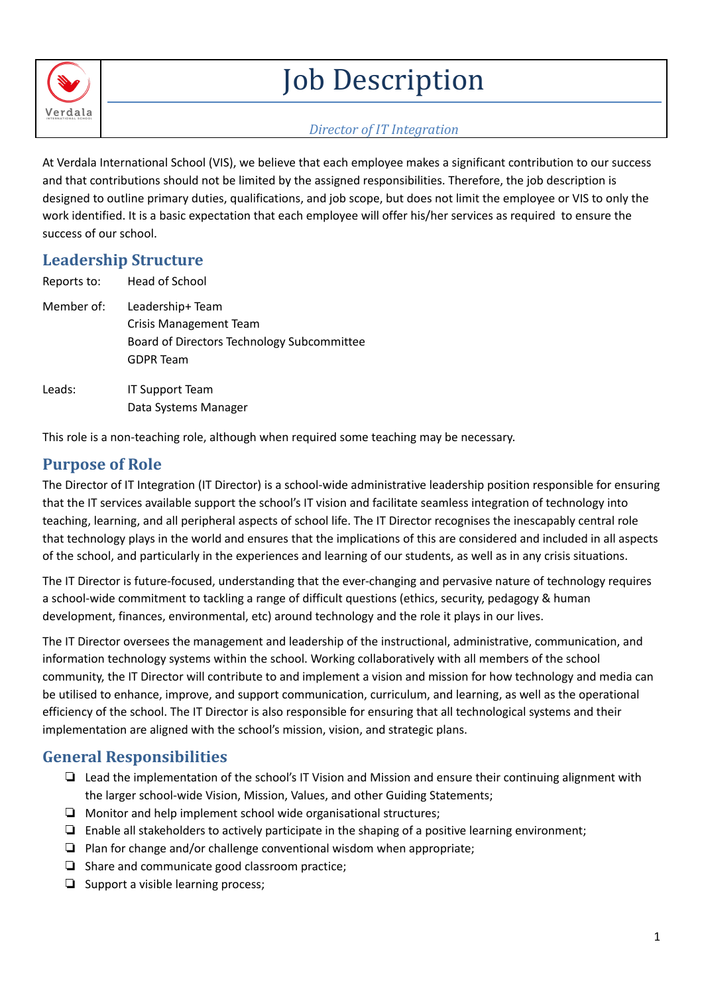

# Job Description

#### *Director of IT Integration*

At Verdala International School (VIS), we believe that each employee makes a significant contribution to our success and that contributions should not be limited by the assigned responsibilities. Therefore, the job description is designed to outline primary duties, qualifications, and job scope, but does not limit the employee or VIS to only the work identified. It is a basic expectation that each employee will offer his/her services as required to ensure the success of our school.

## **Leadership Structure**

| Reports to: | Head of School                                                                                                      |
|-------------|---------------------------------------------------------------------------------------------------------------------|
| Member of:  | Leadership+ Team<br><b>Crisis Management Team</b><br>Board of Directors Technology Subcommittee<br><b>GDPR Team</b> |
| Leads:      | <b>IT Support Team</b><br>Data Systems Manager                                                                      |

This role is a non-teaching role, although when required some teaching may be necessary.

### **Purpose of Role**

The Director of IT Integration (IT Director) is a school-wide administrative leadership position responsible for ensuring that the IT services available support the school's IT vision and facilitate seamless integration of technology into teaching, learning, and all peripheral aspects of school life. The IT Director recognises the inescapably central role that technology plays in the world and ensures that the implications of this are considered and included in all aspects of the school, and particularly in the experiences and learning of our students, as well as in any crisis situations.

The IT Director is future-focused, understanding that the ever-changing and pervasive nature of technology requires a school-wide commitment to tackling a range of difficult questions (ethics, security, pedagogy & human development, finances, environmental, etc) around technology and the role it plays in our lives.

The IT Director oversees the management and leadership of the instructional, administrative, communication, and information technology systems within the school. Working collaboratively with all members of the school community, the IT Director will contribute to and implement a vision and mission for how technology and media can be utilised to enhance, improve, and support communication, curriculum, and learning, as well as the operational efficiency of the school. The IT Director is also responsible for ensuring that all technological systems and their implementation are aligned with the school's mission, vision, and strategic plans.

## **General Responsibilities**

- ❏ Lead the implementation of the school's IT Vision and Mission and ensure their continuing alignment with the larger school-wide Vision, Mission, Values, and other Guiding Statements;
- ❏ Monitor and help implement school wide organisational structures;
- ❏ Enable all stakeholders to actively participate in the shaping of a positive learning environment;
- ❏ Plan for change and/or challenge conventional wisdom when appropriate;
- ❏ Share and communicate good classroom practice;
- ❏ Support a visible learning process;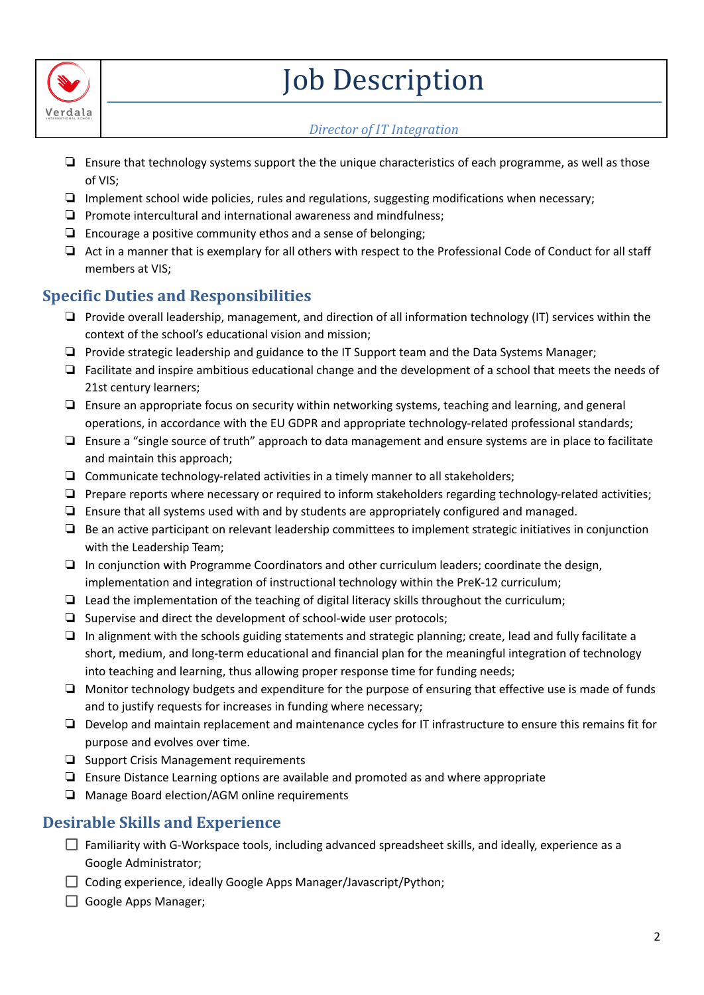

# Job Description

#### *Director of IT Integration*

- ❏ Ensure that technology systems support the the unique characteristics of each programme, as well as those of VIS;
- ❏ Implement school wide policies, rules and regulations, suggesting modifications when necessary;
- ❏ Promote intercultural and international awareness and mindfulness;
- ❏ Encourage a positive community ethos and a sense of belonging;
- ❏ Act in a manner that is exemplary for all others with respect to the Professional Code of Conduct for all staff members at VIS;

## **Specific Duties and Responsibilities**

- ❏ Provide overall leadership, management, and direction of all information technology (IT) services within the context of the school's educational vision and mission;
- ❏ Provide strategic leadership and guidance to the IT Support team and the Data Systems Manager;
- ❏ Facilitate and inspire ambitious educational change and the development of a school that meets the needs of 21st century learners;
- ❏ Ensure an appropriate focus on security within networking systems, teaching and learning, and general operations, in accordance with the EU GDPR and appropriate technology-related professional standards;
- ❏ Ensure a "single source of truth" approach to data management and ensure systems are in place to facilitate and maintain this approach;
- ❏ Communicate technology-related activities in a timely manner to all stakeholders;
- ❏ Prepare reports where necessary or required to inform stakeholders regarding technology-related activities;
- ❏ Ensure that all systems used with and by students are appropriately configured and managed.
- ❏ Be an active participant on relevant leadership committees to implement strategic initiatives in conjunction with the Leadership Team;
- ❏ In conjunction with Programme Coordinators and other curriculum leaders; coordinate the design, implementation and integration of instructional technology within the PreK-12 curriculum;
- ❏ Lead the implementation of the teaching of digital literacy skills throughout the curriculum;
- ❏ Supervise and direct the development of school-wide user protocols;
- ❏ In alignment with the schools guiding statements and strategic planning; create, lead and fully facilitate a short, medium, and long-term educational and financial plan for the meaningful integration of technology into teaching and learning, thus allowing proper response time for funding needs;
- ❏ Monitor technology budgets and expenditure for the purpose of ensuring that effective use is made of funds and to justify requests for increases in funding where necessary;
- ❏ Develop and maintain replacement and maintenance cycles for IT infrastructure to ensure this remains fit for purpose and evolves over time.
- ❏ Support Crisis Management requirements
- ❏ Ensure Distance Learning options are available and promoted as and where appropriate
- ❏ Manage Board election/AGM online requirements

### **Desirable Skills and Experience**

- $\Box$  Familiarity with G-Workspace tools, including advanced spreadsheet skills, and ideally, experience as a Google Administrator;
- $\Box$  Coding experience, ideally Google Apps Manager/Javascript/Python;
- Google Apps Manager: